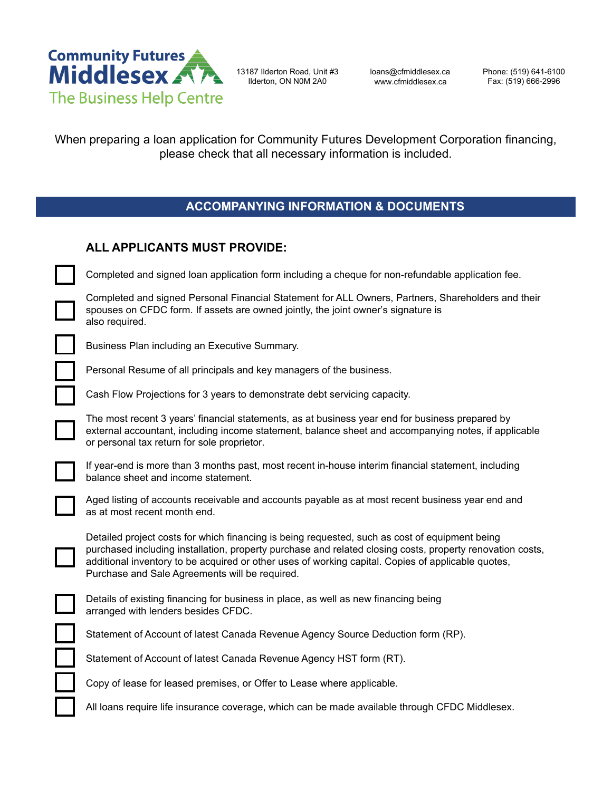

13187 Ilderton Road, Unit #3 Ilderton, ON N0M 2A0

loans@cfmiddlesex.ca www.cfmiddlesex.ca

Phone: (519) 641-6100 Fax: (519) 666-2996

When preparing a loan application for Community Futures Development Corporation financing, please check that all necessary information is included.

### **ACCOMPANYING INFORMATION & DOCUMENTS**

| ALL APPLICANTS MUST PROVIDE: |  |  |
|------------------------------|--|--|
|                              |  |  |

Completed and signed loan application form including a cheque for non-refundable application fee.

Completed and signed Personal Financial Statement for ALL Owners, Partners, Shareholders and their spouses on CFDC form. If assets are owned jointly, the joint owner's signature is also required.



Business Plan including an Executive Summary.

Personal Resume of all principals and key managers of the business.

Cash Flow Projections for 3 years to demonstrate debt servicing capacity.

The most recent 3 years' financial statements, as at business year end for business prepared by external accountant, including income statement, balance sheet and accompanying notes, if applicable or personal tax return for sole proprietor.

If year-end is more than 3 months past, most recent in-house interim financial statement, including balance sheet and income statement.



Aged listing of accounts receivable and accounts payable as at most recent business year end and as at most recent month end.



Detailed project costs for which financing is being requested, such as cost of equipment being purchased including installation, property purchase and related closing costs, property renovation costs, additional inventory to be acquired or other uses of working capital. Copies of applicable quotes, Purchase and Sale Agreements will be required.

Details of existing financing for business in place, as well as new financing being arranged with lenders besides CFDC.

Statement of Account of latest Canada Revenue Agency Source Deduction form (RP).

Statement of Account of latest Canada Revenue Agency HST form (RT).

Copy of lease for leased premises, or Offer to Lease where applicable.

All loans require life insurance coverage, which can be made available through CFDC Middlesex.